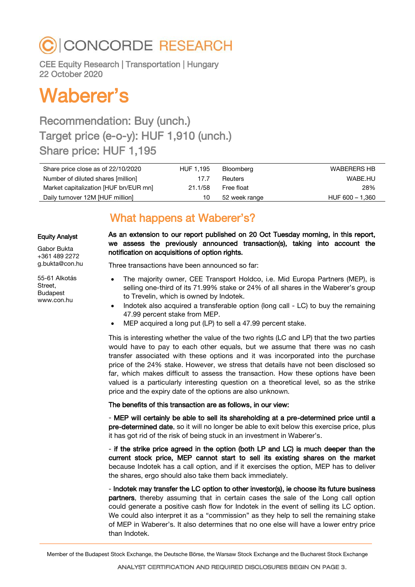## C CONCORDE RESEARCH

CEE Equity Research | Transportation | Hungary 22 October 2020

# Waberer's

## Recommendation: Buy (unch.) Target price (e-o-y): HUF 1,910 (unch.) Share price: HUF 1,195

| Share price close as of 22/10/2020    | HUF 1.195 | Bloomberg     | <b>WABERERS HB</b> |
|---------------------------------------|-----------|---------------|--------------------|
| Number of diluted shares [million]    | 17.7      | Reuters       | WABE.HU            |
| Market capitalization [HUF bn/EUR mn] | 21.1/58   | Free float    | 28%                |
| Daily turnover 12M [HUF million]      | 10        | 52 week range | HUF 600 - 1,360    |

### What happens at Waberer's?

#### Equity Analyst

Gabor Bukta +361 489 2272 g.bukta@con.hu

55-61 Alkotás Street, Budapest www.con.hu

As an extension to our report published on 20 Oct Tuesday morning, in this report, we assess the previously announced transaction(s), taking into account the notification on acquisitions of option rights.

Three transactions have been announced so far:

- The majority owner, CEE Transport Holdco, i.e. Mid Europa Partners (MEP), is selling one-third of its 71.99% stake or 24% of all shares in the Waberer's group to Trevelin, which is owned by Indotek.
- Indotek also acquired a transferable option (long call LC) to buy the remaining 47.99 percent stake from MEP.
- MEP acquired a long put (LP) to sell a 47.99 percent stake.

This is interesting whether the value of the two rights (LC and LP) that the two parties would have to pay to each other equals, but we assume that there was no cash transfer associated with these options and it was incorporated into the purchase price of the 24% stake. However, we stress that details have not been disclosed so far, which makes difficult to assess the transaction. How these options have been valued is a particularly interesting question on a theoretical level, so as the strike price and the expiry date of the options are also unknown.

The benefits of this transaction are as follows, in our view:

- MEP will certainly be able to sell its shareholding at a pre-determined price until a pre-determined date, so it will no longer be able to exit below this exercise price, plus it has got rid of the risk of being stuck in an investment in Waberer's.

- if the strike price agreed in the option (both LP and LC) is much deeper than the current stock price, MEP cannot start to sell its existing shares on the market because Indotek has a call option, and if it exercises the option, MEP has to deliver the shares, ergo should also take them back immediately.

- Indotek may transfer the LC option to other investor(s), ie choose its future business partners, thereby assuming that in certain cases the sale of the Long call option could generate a positive cash flow for Indotek in the event of selling its LC option. We could also interpret it as a "commission" as they help to sell the remaining stake of MEP in Waberer's. It also determines that no one else will have a lower entry price than Indotek.

Member of the Budapest Stock Exchange, the Deutsche Börse, the Warsaw Stock Exchange and the Bucharest Stock Exchange

ANALYST CERTIFICATION AND REQUIRED DISCLOSURES BEGIN ON PAGE 3.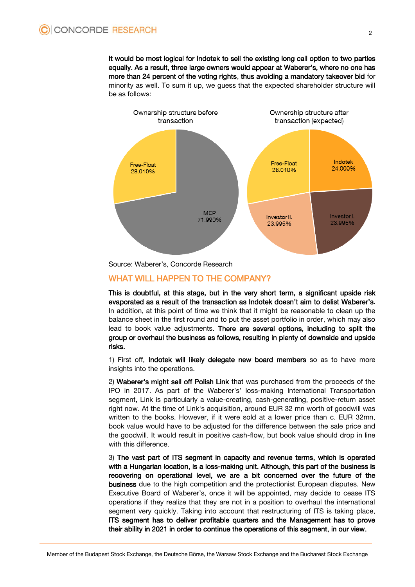It would be most logical for Indotek to sell the existing long call option to two parties equally. As a result, three large owners would appear at Waberer's, where no one has more than 24 percent of the voting rights, thus avoiding a mandatory takeover bid for minority as well. To sum it up, we guess that the expected shareholder structure will be as follows:



Source: Waberer's, Concorde Research

#### WHAT WILL HAPPEN TO THE COMPANY?

This is doubtful, at this stage, but in the very short term, a significant upside risk evaporated as a result of the transaction as Indotek doesn't aim to delist Waberer's. In addition, at this point of time we think that it might be reasonable to clean up the balance sheet in the first round and to put the asset portfolio in order, which may also lead to book value adjustments. There are several options, including to split the group or overhaul the business as follows, resulting in plenty of downside and upside risks.

1) First off, Indotek will likely delegate new board members so as to have more insights into the operations.

2) Waberer's might sell off Polish Link that was purchased from the proceeds of the IPO in 2017. As part of the Waberer's' loss-making International Transportation segment, Link is particularly a value-creating, cash-generating, positive-return asset right now. At the time of Link's acquisition, around EUR 32 mn worth of goodwill was written to the books. However, if it were sold at a lower price than c. EUR 32mn, book value would have to be adjusted for the difference between the sale price and the goodwill. It would result in positive cash-flow, but book value should drop in line with this difference.

3) The vast part of ITS segment in capacity and revenue terms, which is operated with a Hungarian location, is a loss-making unit. Although, this part of the business is recovering on operational level, we are a bit concerned over the future of the business due to the high competition and the protectionist European disputes. New Executive Board of Waberer's, once it will be appointed, may decide to cease ITS operations if they realize that they are not in a position to overhaul the international segment very quickly. Taking into account that restructuring of ITS is taking place, ITS segment has to deliver profitable quarters and the Management has to prove their ability in 2021 in order to continue the operations of this segment, in our view.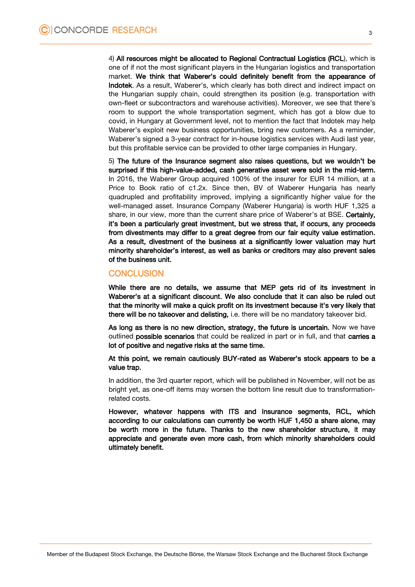4) All resources might be allocated to Regional Contractual Logistics (RCL), which is one of if not the most significant players in the Hungarian logistics and transportation market. We think that Waberer's could definitely benefit from the appearance of Indotek. As a result, Waberer's, which clearly has both direct and indirect impact on the Hungarian supply chain, could strengthen its position (e.g. transportation with own-fleet or subcontractors and warehouse activities). Moreover, we see that there's room to support the whole transportation segment, which has got a blow due to covid, in Hungary at Government level, not to mention the fact that Indotek may help Waberer's exploit new business opportunities, bring new customers. As a reminder, Waberer's signed a 3-year contract for in-house logistics services with Audi last year, but this profitable service can be provided to other large companies in Hungary.

5) The future of the Insurance segment also raises questions, but we wouldn't be surprised if this high-value-added, cash generative asset were sold in the mid-term. In 2016, the Waberer Group acquired 100% of the insurer for EUR 14 million, at a Price to Book ratio of c1.2x. Since then, BV of Waberer Hungaria has nearly quadrupled and profitability improved, implying a significantly higher value for the well-managed asset. Insurance Company (Waberer Hungaria) is worth HUF 1,325 a share, in our view, more than the current share price of Waberer's at BSE. Certainly, it's been a particularly great investment, but we stress that, if occurs, any proceeds from divestments may differ to a great degree from our fair equity value estimation. As a result, divestment of the business at a significantly lower valuation may hurt minority shareholder's interest, as well as banks or creditors may also prevent sales of the business unit.

#### **CONCLUSION**

While there are no details, we assume that MEP gets rid of its investment in Waberer's at a significant discount. We also conclude that it can also be ruled out that the minority will make a quick profit on its investment because it's very likely that there will be no takeover and delisting, i.e. there will be no mandatory takeover bid.

As long as there is no new direction, strategy, the future is uncertain. Now we have outlined possible scenarios that could be realized in part or in full, and that carries a lot of positive and negative risks at the same time.

At this point, we remain cautiously BUY-rated as Waberer's stock appears to be a value trap.

In addition, the 3rd quarter report, which will be published in November, will not be as bright yet, as one-off items may worsen the bottom line result due to transformationrelated costs.

However, whatever happens with ITS and Insurance segments, RCL, which according to our calculations can currently be worth HUF 1,450 a share alone, may be worth more in the future. Thanks to the new shareholder structure, it may appreciate and generate even more cash, from which minority shareholders could ultimately benefit.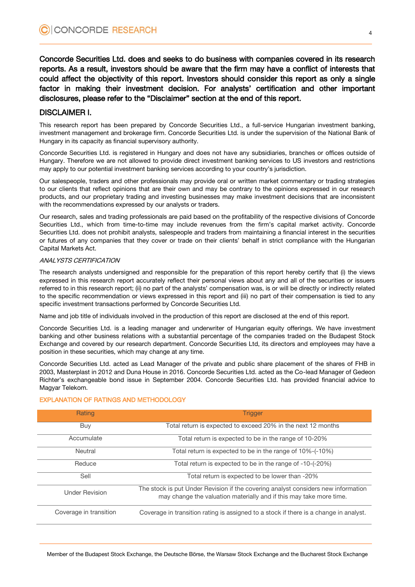Concorde Securities Ltd. does and seeks to do business with companies covered in its research reports. As a result, investors should be aware that the firm may have a conflict of interests that could affect the objectivity of this report. Investors should consider this report as only a single factor in making their investment decision. For analysts' certification and other important disclosures, please refer to the "Disclaimer" section at the end of this report.

#### DISCLAIMER I.

This research report has been prepared by Concorde Securities Ltd., a full-service Hungarian investment banking, investment management and brokerage firm. Concorde Securities Ltd. is under the supervision of the National Bank of Hungary in its capacity as financial supervisory authority.

Concorde Securities Ltd. is registered in Hungary and does not have any subsidiaries, branches or offices outside of Hungary. Therefore we are not allowed to provide direct investment banking services to US investors and restrictions may apply to our potential investment banking services according to your country's jurisdiction.

Our salespeople, traders and other professionals may provide oral or written market commentary or trading strategies to our clients that reflect opinions that are their own and may be contrary to the opinions expressed in our research products, and our proprietary trading and investing businesses may make investment decisions that are inconsistent with the recommendations expressed by our analysts or traders.

Our research, sales and trading professionals are paid based on the profitability of the respective divisions of Concorde Securities Ltd., which from time-to-time may include revenues from the firm's capital market activity. Concorde Securities Ltd. does not prohibit analysts, salespeople and traders from maintaining a financial interest in the securities or futures of any companies that they cover or trade on their clients' behalf in strict compliance with the Hungarian Capital Markets Act.

#### ANALYSTS CERTIFICATION

The research analysts undersigned and responsible for the preparation of this report hereby certify that (i) the views expressed in this research report accurately reflect their personal views about any and all of the securities or issuers referred to in this research report; (ii) no part of the analysts' compensation was, is or will be directly or indirectly related to the specific recommendation or views expressed in this report and (iii) no part of their compensation is tied to any specific investment transactions performed by Concorde Securities Ltd.

Name and job title of individuals involved in the production of this report are disclosed at the end of this report.

Concorde Securities Ltd. is a leading manager and underwriter of Hungarian equity offerings. We have investment banking and other business relations with a substantial percentage of the companies traded on the Budapest Stock Exchange and covered by our research department. Concorde Securities Ltd, its directors and employees may have a position in these securities, which may change at any time.

Concorde Securities Ltd. acted as Lead Manager of the private and public share placement of the shares of FHB in 2003, Masterplast in 2012 and Duna House in 2016. Concorde Securities Ltd. acted as the Co-lead Manager of Gedeon Richter's exchangeable bond issue in September 2004. Concorde Securities Ltd. has provided financial advice to Magyar Telekom.

| Rating                 | <b>Trigger</b>                                                                                                                                           |
|------------------------|----------------------------------------------------------------------------------------------------------------------------------------------------------|
| Buy                    | Total return is expected to exceed 20% in the next 12 months                                                                                             |
| Accumulate             | Total return is expected to be in the range of 10-20%                                                                                                    |
| Neutral                | Total return is expected to be in the range of 10%-(-10%)                                                                                                |
| Reduce                 | Total return is expected to be in the range of -10-(-20%)                                                                                                |
| Sell                   | Total return is expected to be lower than -20%                                                                                                           |
| <b>Under Revision</b>  | The stock is put Under Revision if the covering analyst considers new information<br>may change the valuation materially and if this may take more time. |
| Coverage in transition | Coverage in transition rating is assigned to a stock if there is a change in analyst.                                                                    |

#### EXPLANATION OF RATINGS AND METHODOLOGY